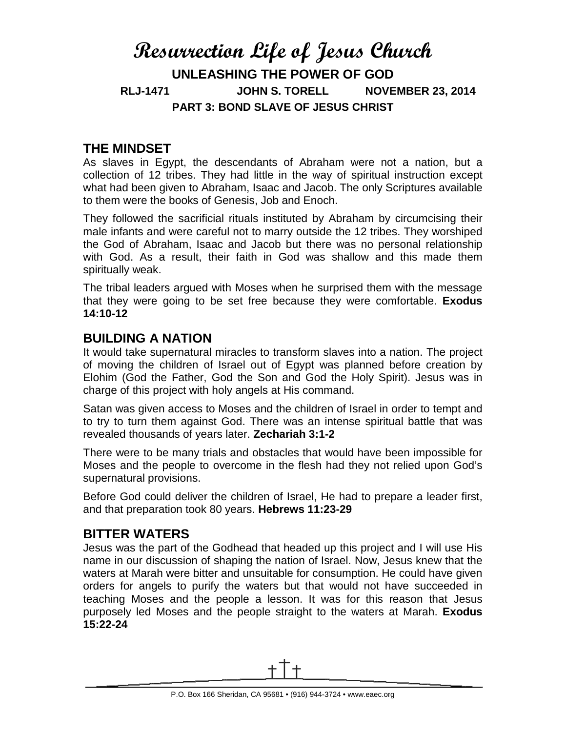# **Resurrection Life of Jesus Church UNLEASHING THE POWER OF GOD RLJ-1471 JOHN S. TORELL NOVEMBER 23, 2014 PART 3: BOND SLAVE OF JESUS CHRIST**

### **THE MINDSET**

As slaves in Egypt, the descendants of Abraham were not a nation, but a collection of 12 tribes. They had little in the way of spiritual instruction except what had been given to Abraham, Isaac and Jacob. The only Scriptures available to them were the books of Genesis, Job and Enoch.

They followed the sacrificial rituals instituted by Abraham by circumcising their male infants and were careful not to marry outside the 12 tribes. They worshiped the God of Abraham, Isaac and Jacob but there was no personal relationship with God. As a result, their faith in God was shallow and this made them spiritually weak.

The tribal leaders argued with Moses when he surprised them with the message that they were going to be set free because they were comfortable. **Exodus 14:10-12**

### **BUILDING A NATION**

It would take supernatural miracles to transform slaves into a nation. The project of moving the children of Israel out of Egypt was planned before creation by Elohim (God the Father, God the Son and God the Holy Spirit). Jesus was in charge of this project with holy angels at His command.

Satan was given access to Moses and the children of Israel in order to tempt and to try to turn them against God. There was an intense spiritual battle that was revealed thousands of years later. **Zechariah 3:1-2**

There were to be many trials and obstacles that would have been impossible for Moses and the people to overcome in the flesh had they not relied upon God's supernatural provisions.

Before God could deliver the children of Israel, He had to prepare a leader first, and that preparation took 80 years. **Hebrews 11:23-29**

### **BITTER WATERS**

Jesus was the part of the Godhead that headed up this project and I will use His name in our discussion of shaping the nation of Israel. Now, Jesus knew that the waters at Marah were bitter and unsuitable for consumption. He could have given orders for angels to purify the waters but that would not have succeeded in teaching Moses and the people a lesson. It was for this reason that Jesus purposely led Moses and the people straight to the waters at Marah. **Exodus 15:22-24**

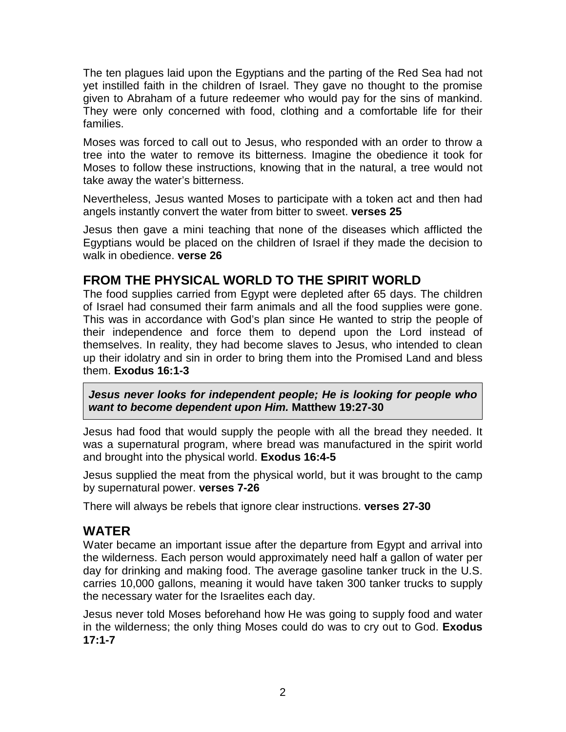The ten plagues laid upon the Egyptians and the parting of the Red Sea had not yet instilled faith in the children of Israel. They gave no thought to the promise given to Abraham of a future redeemer who would pay for the sins of mankind. They were only concerned with food, clothing and a comfortable life for their families.

Moses was forced to call out to Jesus, who responded with an order to throw a tree into the water to remove its bitterness. Imagine the obedience it took for Moses to follow these instructions, knowing that in the natural, a tree would not take away the water's bitterness.

Nevertheless, Jesus wanted Moses to participate with a token act and then had angels instantly convert the water from bitter to sweet. **verses 25**

Jesus then gave a mini teaching that none of the diseases which afflicted the Egyptians would be placed on the children of Israel if they made the decision to walk in obedience. **verse 26**

### **FROM THE PHYSICAL WORLD TO THE SPIRIT WORLD**

The food supplies carried from Egypt were depleted after 65 days. The children of Israel had consumed their farm animals and all the food supplies were gone. This was in accordance with God's plan since He wanted to strip the people of their independence and force them to depend upon the Lord instead of themselves. In reality, they had become slaves to Jesus, who intended to clean up their idolatry and sin in order to bring them into the Promised Land and bless them. **Exodus 16:1-3**

*Jesus never looks for independent people; He is looking for people who want to become dependent upon Him.* **Matthew 19:27-30**

Jesus had food that would supply the people with all the bread they needed. It was a supernatural program, where bread was manufactured in the spirit world and brought into the physical world. **Exodus 16:4-5**

Jesus supplied the meat from the physical world, but it was brought to the camp by supernatural power. **verses 7-26**

There will always be rebels that ignore clear instructions. **verses 27-30**

### **WATER**

Water became an important issue after the departure from Egypt and arrival into the wilderness. Each person would approximately need half a gallon of water per day for drinking and making food. The average gasoline tanker truck in the U.S. carries 10,000 gallons, meaning it would have taken 300 tanker trucks to supply the necessary water for the Israelites each day.

Jesus never told Moses beforehand how He was going to supply food and water in the wilderness; the only thing Moses could do was to cry out to God. **Exodus 17:1-7**